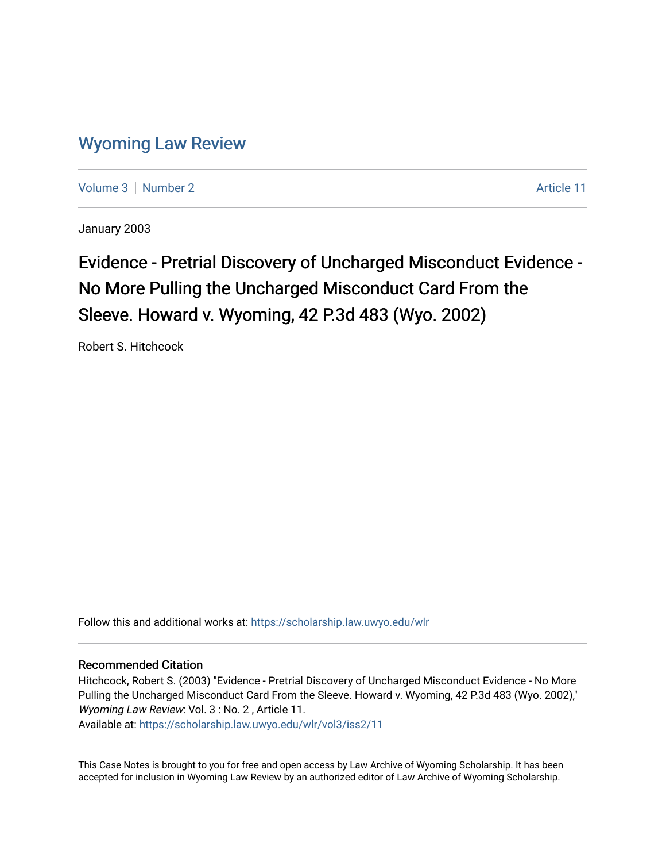# [Wyoming Law Review](https://scholarship.law.uwyo.edu/wlr)

[Volume 3](https://scholarship.law.uwyo.edu/wlr/vol3) [Number 2](https://scholarship.law.uwyo.edu/wlr/vol3/iss2) Article 11

January 2003

# Evidence - Pretrial Discovery of Uncharged Misconduct Evidence -No More Pulling the Uncharged Misconduct Card From the Sleeve. Howard v. Wyoming, 42 P.3d 483 (Wyo. 2002)

Robert S. Hitchcock

Follow this and additional works at: [https://scholarship.law.uwyo.edu/wlr](https://scholarship.law.uwyo.edu/wlr?utm_source=scholarship.law.uwyo.edu%2Fwlr%2Fvol3%2Fiss2%2F11&utm_medium=PDF&utm_campaign=PDFCoverPages) 

#### Recommended Citation

Hitchcock, Robert S. (2003) "Evidence - Pretrial Discovery of Uncharged Misconduct Evidence - No More Pulling the Uncharged Misconduct Card From the Sleeve. Howard v. Wyoming, 42 P.3d 483 (Wyo. 2002)," Wyoming Law Review: Vol. 3 : No. 2, Article 11.

Available at: [https://scholarship.law.uwyo.edu/wlr/vol3/iss2/11](https://scholarship.law.uwyo.edu/wlr/vol3/iss2/11?utm_source=scholarship.law.uwyo.edu%2Fwlr%2Fvol3%2Fiss2%2F11&utm_medium=PDF&utm_campaign=PDFCoverPages) 

This Case Notes is brought to you for free and open access by Law Archive of Wyoming Scholarship. It has been accepted for inclusion in Wyoming Law Review by an authorized editor of Law Archive of Wyoming Scholarship.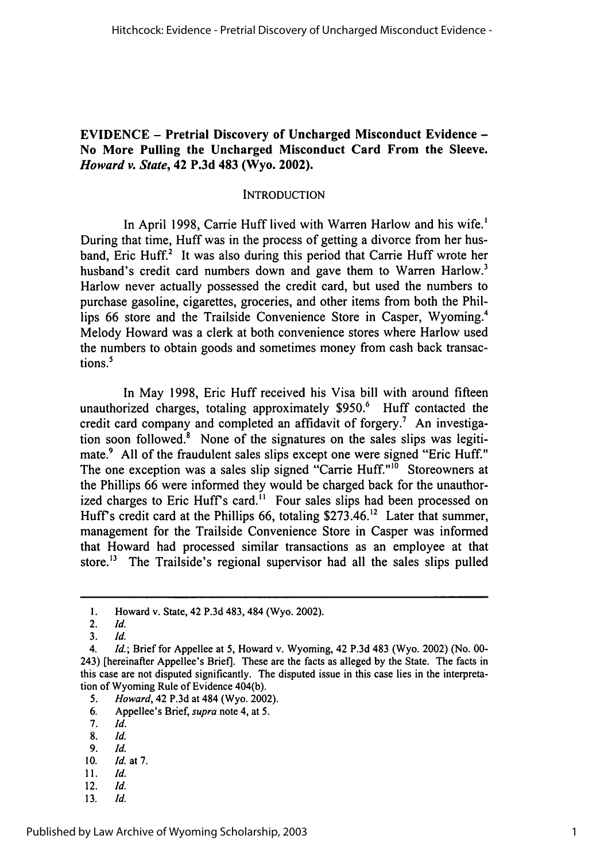#### **EVIDENCE - Pretrial Discovery of Uncharged Misconduct Evidence - No More Pulling the Uncharged Misconduct Card From the Sleeve.** *Howard v. State,* **42 P.3d 483 (Wyo. 2002).**

#### **INTRODUCTION**

In April **1998,** Carrie Huff lived with Warren Harlow and his wife.' During that time, Huff was in the process of getting a divorce from her husband, Eric **Huff.2** It was also during this period that Carrie Huff wrote her husband's credit card numbers down and gave them to Warren Harlow.<sup>3</sup> Harlow never actually possessed the credit card, but used the numbers to purchase gasoline, cigarettes, groceries, and other items from both the Phillips **66** store and the Trailside Convenience Store in Casper, Wyoming.' Melody Howard was a clerk at both convenience stores where Harlow used the numbers to obtain goods and sometimes money from cash back transactions.<sup>5</sup>

In May **1998,** Eric Huff received his Visa bill with around fifteen unauthorized charges, totaling approximately **\$950.6** Huff contacted the credit card company and completed an affidavit of forgery.<sup>7</sup> An investigation soon followed. $8$  None of the signatures on the sales slips was legitimate.<sup>9</sup> All of the fraudulent sales slips except one were signed "Eric Huff." The one exception was a sales slip signed "Carrie Huff."<sup>10</sup> Storeowners at the Phillips **66** were informed they would be charged back for the unauthorized charges to Eric Huff's card.<sup>11</sup> Four sales slips had been processed on Huff s credit card at the Phillips **66,** totaling **\$273.46.12** Later that summer, management for the Trailside Convenience Store in Casper was informed that Howard had processed similar transactions as an employee at that store.<sup>13</sup> The Trailside's regional supervisor had all the sales slips pulled

- *5. Howard,* 42 **P.3d** at 484 (Wyo. 2002).
- **6.** Appellee's Brief, supra note 4, at **5.**
- **7.** *Id.*
- 8. *Id.*
- *9. Id.*
- 10. *Id.* at7.
- 11. *Id.*
- 12. *Id.*
- 13. *Id.*

**i.** Howard v. State, 42 **P.3d** 483, 484 (Wyo. 2002).

<sup>2.</sup> *Id.*

**<sup>3.</sup>** *Id.*

*<sup>4.</sup> Id.;* Brief for Appellee at **5,** Howard v. Wyoming, 42 **P.3d** 483 (Wyo. 2002) (No. **00-** 243) [hereinafter Appellee's Brief]. These are the facts as alleged **by** the State. The facts in this case are not disputed significantly. The disputed issue in this case lies in the interpretation of Wyoming Rule of Evidence 404(b).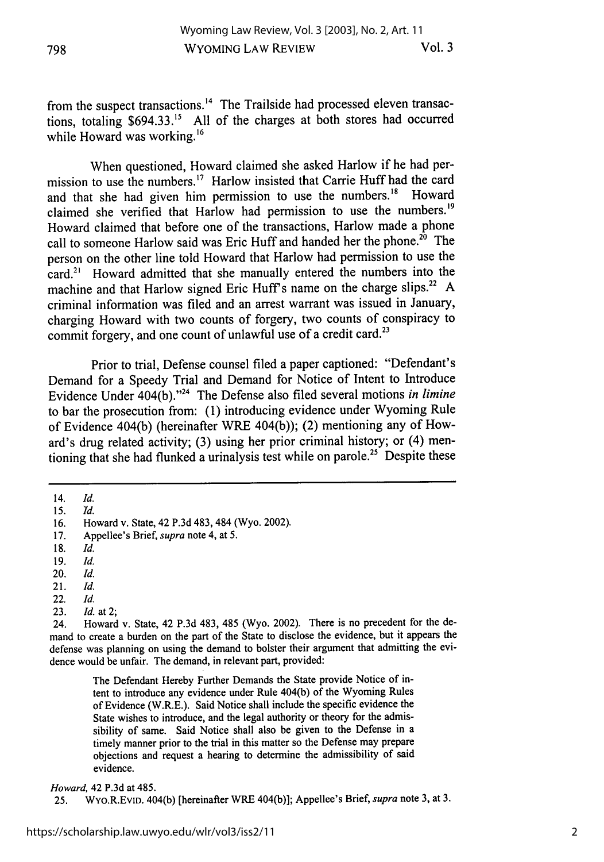from the suspect transactions.<sup>14</sup> The Trailside had processed eleven transactions, totaling \$694.33." All of the charges at both stores had occurred while Howard was working.<sup>16</sup>

When questioned, Howard claimed she asked Harlow if he had permission to use the numbers.<sup>17</sup> Harlow insisted that Carrie Huff had the card and that she had given him permission to use the numbers.<sup>18</sup> Howard claimed she verified that Harlow had permission to use the numbers.<sup>19</sup> Howard claimed that before one of the transactions, Harlow made a phone call to someone Harlow said was Eric Huff and handed her the phone.<sup>20</sup> The person on the other line told Howard that Harlow had permission to use the card.2' Howard admitted that she manually entered the numbers into the machine and that Harlow signed Eric Huff's name on the charge slips.<sup>22</sup> A criminal information was filed and an arrest warrant was issued in January, charging Howard with two counts of forgery, two counts of conspiracy to commit forgery, and one count of unlawful use of a credit card.<sup>23</sup>

Prior to trial, Defense counsel filed a paper captioned: "Defendant's Demand for a Speedy Trial and Demand for Notice of Intent to Introduce Evidence Under 404(b)."24 The Defense also filed several motions *in limine* to bar the prosecution from: (1) introducing evidence under Wyoming Rule of Evidence 404(b) (hereinafter WRE 404(b)); (2) mentioning any of Howard's drug related activity; (3) using her prior criminal history; or (4) mentioning that she had flunked a urinalysis test while on parole.<sup>25</sup> Despite these

- 20. *Id.*
- 21. *Id.*
- 22. *Id.*
- 23. *Id.* at 2;

24. Howard v. State, 42 P.3d 483, 485 (Wyo. 2002). There is no precedent for the demand to create a burden on the part of the State to disclose the evidence, but it appears the defense was planning on using the demand to bolster their argument that admitting the evidence would be unfair. The demand, in relevant part, provided:

> The Defendant Hereby Further Demands the State provide Notice of intent to introduce any evidence under Rule 404(b) of the Wyoming Rules of Evidence (W.R.E.). Said Notice shall include the specific evidence the State wishes to introduce, and the legal authority or theory for the admissibility of same. Said Notice shall also be given to the Defense in a timely manner prior to the trial in this matter so the Defense may prepare objections and request a hearing to determine the admissibility of said evidence.

#### *Howard,* 42 P.3d at 485.

25. WYo.R.EvID. 404(b) [hereinafter WRE 404(b)]; Appellee's Brief, *supra* note 3, at 3.

<sup>14.</sup> *Id.*

<sup>15.</sup> *Id.*

<sup>16.</sup> Howard v. State, 42 P.3d 483, 484 (Wyo. 2002).

<sup>17.</sup> Appellee's Brief, *supra* note 4, at 5.

**<sup>18.</sup>** *Id.*

<sup>19.</sup> *Id.*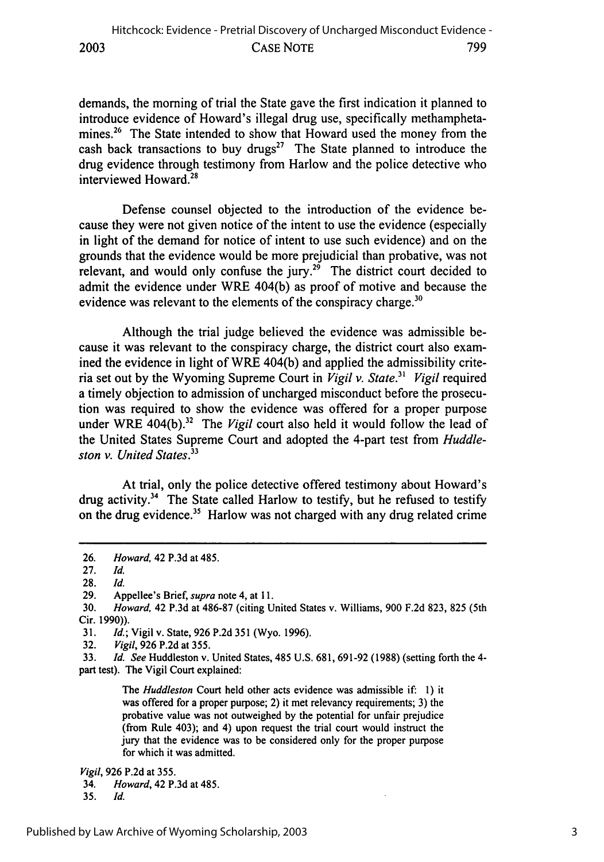demands, the morning of trial the State gave the first indication it planned to introduce evidence of Howard's illegal drug use, specifically methamphetamines.<sup>26</sup> The State intended to show that Howard used the money from the cash back transactions to buy drugs<sup>27</sup> The State planned to introduce the drug evidence through testimony from Harlow and the police detective who interviewed Howard.28

Defense counsel objected to the introduction of the evidence because they were not given notice of the intent to use the evidence (especially in light of the demand for notice of intent to use such evidence) and on the grounds that the evidence would be more prejudicial than probative, was not relevant, and would only confuse the jury.<sup>29</sup> The district court decided to admit the evidence under WRE 404(b) as proof of motive and because the evidence was relevant to the elements of the conspiracy charge.<sup>3</sup>

Although the trial judge believed the evidence was admissible because it was relevant to the conspiracy charge, the district court also examined the evidence in light of WRE 404(b) and applied the admissibility criteria set out by the Wyoming Supreme Court in *Vigil v. State.<sup>31</sup> Vigil* required a timely objection to admission of uncharged misconduct before the prosecution was required to show the evidence was offered for a proper purpose under WRE 404(b).<sup>32</sup> The *Vigil* court also held it would follow the lead of the United States Supreme Court and adopted the 4-part test from *Huddle*ston v. *United States.33*

At trial, only the police detective offered testimony about Howard's drug activity.<sup>34</sup> The State called Harlow to testify, but he refused to testify on the drug evidence.<sup>35</sup> Harlow was not charged with any drug related crime

33. *Id. See* Huddleston v. United States, 485 U.S. 681, 691-92 (1988) (setting forth the 4 part test). The Vigil Court explained:

> The *Huddleston* Court held other acts evidence was admissible if: **1)** it was offered for a proper purpose; 2) it met relevancy requirements; 3) the probative value was not outweighed by the potential for unfair prejudice (from Rule 403); and 4) upon request the trial court would instruct the jury that the evidence was to be considered only for the proper purpose for which it was admitted.

*Vigil,* 926 P.2d at 355.

<sup>26.</sup> *Howard,* 42 P.3d at 485.

<sup>27.</sup> *Id.*

**<sup>28.</sup>** *Id.*

<sup>29.</sup> Appellee's Brief, *supra* note 4, at **11.**

<sup>30.</sup> *Howard,* 42 P.3d at 486-87 (citing United States v. Williams, 900 F.2d 823, 825 (5th Cir. 1990)).

<sup>31.</sup> *Id.;* Vigil v. State, 926 P.2d 351 (Wyo. 1996).

<sup>32.</sup> *Vigil,* 926 P.2d at 355.

<sup>34.</sup> *Howard,* 42 P.3d at 485.

**<sup>35.</sup>** *Id.*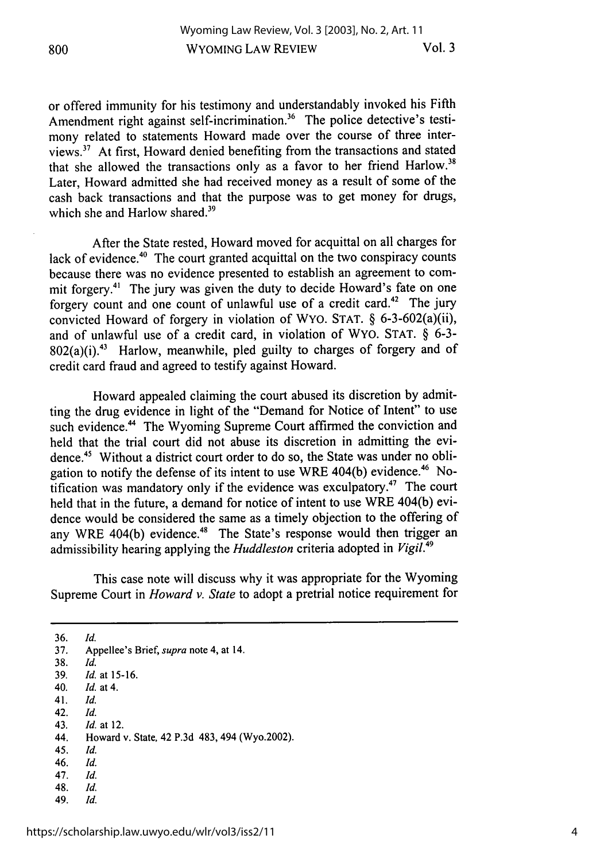or offered immunity for his testimony and understandably invoked his Fifth Amendment right against self-incrimination.<sup>36</sup> The police detective's testimony related to statements Howard made over the course of three interviews.<sup>37</sup> At first, Howard denied benefiting from the transactions and stated that she allowed the transactions only as a favor to her friend Harlow.<sup>38</sup> Later, Howard admitted she had received money as a result of some of the cash back transactions and that the purpose was to get money for drugs, which she and Harlow shared.<sup>39</sup>

After the State rested, Howard moved for acquittal on all charges for lack of evidence.<sup>40</sup> The court granted acquittal on the two conspiracy counts because there was no evidence presented to establish an agreement to commit forgery.<sup>41</sup> The jury was given the duty to decide Howard's fate on one forgery count and one count of unlawful use of a credit card.42 The jury convicted Howard of forgery in violation of WYO. STAT. § 6-3-602(a)(ii), and of unlawful use of a credit card, in violation of WYO. STAT. § 6-3-  $802(a)(i).43$  Harlow, meanwhile, pled guilty to charges of forgery and of credit card fraud and agreed to testify against Howard.

Howard appealed claiming the court abused its discretion by admitting the drug evidence in light of the "Demand for Notice of Intent" to use such evidence.<sup>44</sup> The Wyoming Supreme Court affirmed the conviction and held that the trial court did not abuse its discretion in admitting the evidence.45 Without a district court order to do so, the State was under no obligation to notify the defense of its intent to use WRE 404(b) evidence.<sup>46</sup> Notification was mandatory only if the evidence was exculpatory.<sup>47</sup> The court held that in the future, a demand for notice of intent to use WRE 404(b) evidence would be considered the same as a timely objection to the offering of any WRE 404(b) evidence.<sup>48</sup> The State's response would then trigger an admissibility hearing applying the *Huddleston* criteria adopted in *Vigil.49*

This case note will discuss why it was appropriate for the Wyoming Supreme Court in *Howard v. State* to adopt a pretrial notice requirement for

- 41. *Id.*
- 42. *Id.* 43. *Id.* at 12.

- 45. *Id.*
- 46. *Id.*
- 47. Id.
- 48. *Id.*
- 49. *Id.*

<sup>36.</sup> *Id.*

<sup>37.</sup> Appellee's Brief, supra note 4, at 14.

<sup>38.</sup> *Id.*

<sup>39.</sup> *Id.* at 15-16.

<sup>40.</sup> *Id.* at 4.

<sup>44.</sup> Howard v. State, 42 P.3d 483, 494 (Wyo.2002).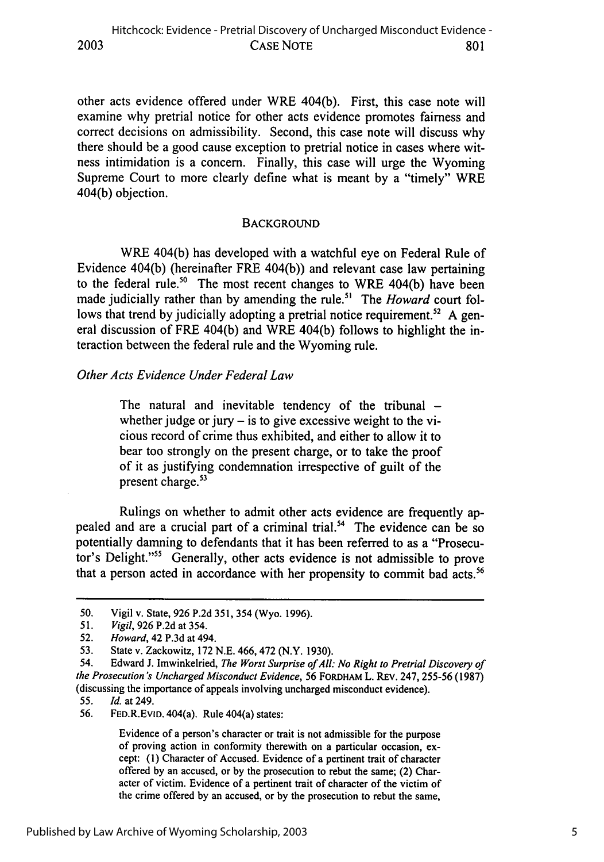other acts evidence offered under WRE 404(b). First, this case note will examine why pretrial notice for other acts evidence promotes fairness and correct decisions on admissibility. Second, this case note will discuss why there should be a good cause exception to pretrial notice in cases where witness intimidation is a concern. Finally, this case will urge the Wyoming Supreme Court to more clearly define what is meant by a "timely" WRE 404(b) objection.

#### **BACKGROUND**

WRE 404(b) has developed with a watchful eye on Federal Rule of Evidence 404(b) (hereinafter FRE 404(b)) and relevant case law pertaining to the federal rule.<sup>50</sup> The most recent changes to WRE 404(b) have been made judicially rather than by amending the rule.<sup>51</sup> The *Howard* court follows that trend by judicially adopting a pretrial notice requirement.<sup>52</sup> A general discussion of FRE 404(b) and WRE 404(b) follows to highlight the interaction between the federal rule and the Wyoming rule.

#### *Other Acts Evidence Under Federal Law*

The natural and inevitable tendency of the tribunal  $$ whether judge or jury  $-$  is to give excessive weight to the vicious record of crime thus exhibited, and either to allow it to bear too strongly on the present charge, or to take the proof of it as justifying condemnation irrespective of guilt of the present charge.<sup>53</sup>

Rulings on whether to admit other acts evidence are frequently appealed and are a crucial part of a criminal trial.<sup>54</sup> The evidence can be so potentially damning to defendants that it has been referred to as a "Prosecutor's Delight."55 Generally, other acts evidence is not admissible to prove that a person acted in accordance with her propensity to commit bad acts.<sup>56</sup>

<sup>50.</sup> Vigil v. State, 926 P.2d 351, 354 (Wyo. 1996).

<sup>51.</sup> *Vigil,* 926 P.2d at 354.

<sup>52.</sup> *Howard,* 42 P.3d at 494.

<sup>53.</sup> State v. Zackowitz, 172 N.E. 466, 472 (N.Y. 1930).

<sup>54.</sup> Edward J. Imwinkelried, *The Worst Surprise ofAll: No Right to Pretrial Discovery of the Prosecution's Uncharged Misconduct Evidence,* 56 FORDHAM L. REv. 247, 255-56 (1987) (discussing the importance of appeals involving uncharged misconduct evidence).

<sup>55.</sup> *Id.* at 249.

<sup>56.</sup> FED.R.EVID. 404(a). Rule 404(a) states:

Evidence of a person's character or trait is not admissible for the purpose of proving action in conformity therewith on a particular occasion, except: **(1)** Character of Accused. Evidence of a pertinent trait of character offered by an accused, or by the prosecution to rebut the same; (2) Character of victim. Evidence of a pertinent trait of character of the victim of the crime offered by an accused, or by the prosecution to rebut the same,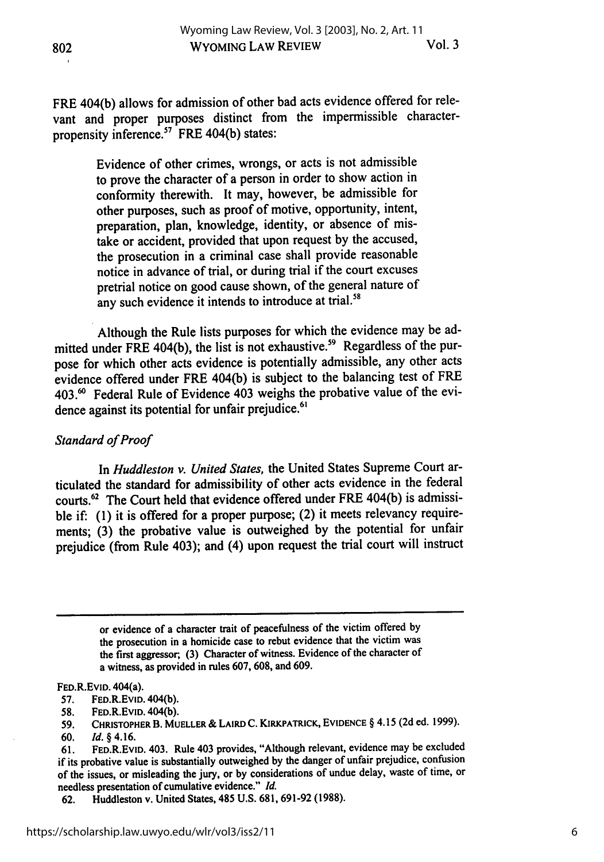FRE 404(b) allows for admission of other bad acts evidence offered for relevant and proper purposes distinct from the impermissible characterpropensity inference.<sup>57</sup> FRE 404(b) states:

> Evidence of other crimes, wrongs, or acts is not admissible to prove the character of a person in order to show action in conformity therewith. It may, however, be admissible for other purposes, such as proof of motive, opportunity, intent, preparation, plan, knowledge, identity, or absence of mistake or accident, provided that upon request by the accused, the prosecution in a criminal case shall provide reasonable notice in advance of trial, or during trial if the court excuses pretrial notice on good cause shown, of the general nature of any such evidence it intends to introduce at trial.<sup>58</sup>

Although the Rule lists purposes for which the evidence may be admitted under FRE 404(b), the list is not exhaustive.<sup>59</sup> Regardless of the purpose for which other acts evidence is potentially admissible, any other acts evidence offered under FRE 404(b) is subject to the balancing test of FRE 403.<sup>60</sup> Federal Rule of Evidence 403 weighs the probative value of the evidence against its potential for unfair prejudice.<sup>61</sup>

## *Standard of Proof*

In *Huddleston v. United States,* the United States Supreme Court articulated the standard for admissibility of other acts evidence in the federal courts.<sup>62</sup> The Court held that evidence offered under FRE 404(b) is admissible if: (1) it is offered for a proper purpose; (2) it meets relevancy requirements; (3) the probative value is outweighed by the potential for unfair prejudice (from Rule 403); and (4) upon request the trial court will instruct

> or evidence of a character trait of peacefulness of the victim offered **by** the prosecution in a homicide case to rebut evidence that the victim was the first aggressor, (3) Character of witness. Evidence of the character of a witness, as provided in rules 607, 608, and 609.

#### FED.R.EvID. 404(a).

- 57. FED.R.EvID. 404(b).
- **58.** FED.R.EvID. 404(b).

**<sup>59.</sup> CHRISTOPHER** B. MUELLER **&** LAIRD **C. KIRKPATRICK, EVIDENCE** § 4.15 (2d ed. 1999).

**<sup>60.</sup>** *Id. §* 4.16.

<sup>61.</sup> FED.R.EVID. 403. Rule 403 provides, "Although relevant, evidence may be excluded if its probative value is substantially outweighed by the danger of unfair prejudice, confusion of the issues, or misleading the jury, or by considerations of undue delay, waste of time, or needless presentation of cumulative evidence." *Id.*

<sup>62.</sup> Huddleston v. United States, 485 U.S. 681, 691-92 (1988).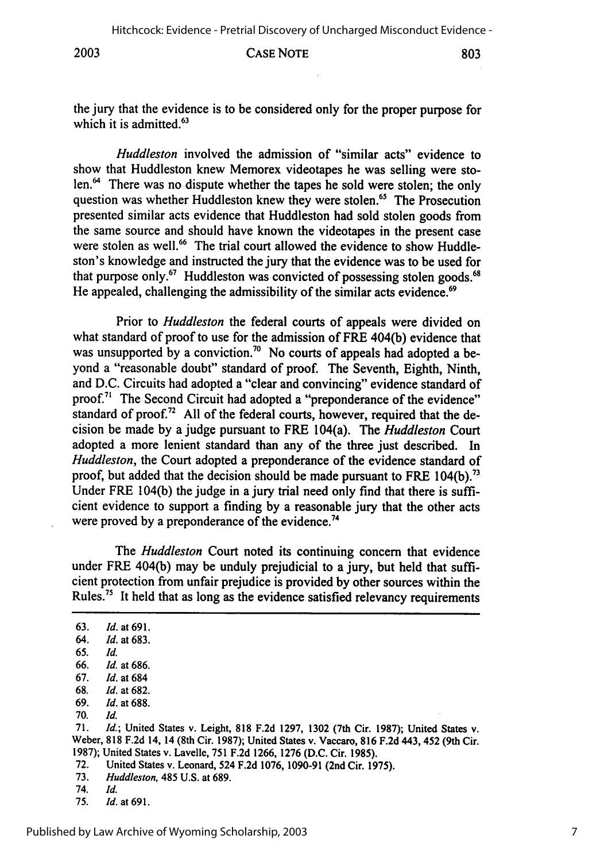**2003**

#### CASE NOTE

the jury that the evidence is to be considered only for the proper purpose for which it is admitted.<sup>63</sup>

*Huddleston* involved the admission of "similar acts" evidence to show that Huddleston knew Memorex videotapes he was selling were stolen.<sup>64</sup> There was no dispute whether the tapes he sold were stolen; the only question was whether Huddleston knew they were stolen.<sup>65</sup> The Prosecution presented similar acts evidence that Huddleston had sold stolen goods from the same source and should have known the videotapes in the present case were stolen as well.<sup>66</sup> The trial court allowed the evidence to show Huddleston's knowledge and instructed the jury that the evidence was to be used for that purpose only.<sup>67</sup> Huddleston was convicted of possessing stolen goods.<sup>68</sup> He appealed, challenging the admissibility of the similar acts evidence.<sup>69</sup>

Prior to *Huddleston* the federal courts of appeals were divided on what standard of proof to use for the admission of FRE 404(b) evidence that was unsupported by a conviction.<sup>70</sup> No courts of appeals had adopted a beyond a "reasonable doubt" standard of proof. The Seventh, Eighth, Ninth, and D.C. Circuits had adopted a "clear and convincing" evidence standard of proof.<sup>71</sup> The Second Circuit had adopted a "preponderance of the evidence" standard of proof.<sup>72</sup> All of the federal courts, however, required that the decision be made by a judge pursuant to FRE 104(a). The *Huddleston* Court adopted a more lenient standard than any of the three just described. In *Huddleston,* the Court adopted a preponderance of the evidence standard of proof, but added that the decision should be made pursuant to FRE  $104(b)$ .<sup>73</sup> Under FRE 104(b) the judge in a jury trial need only find that there is sufficient evidence to support a finding by a reasonable jury that the other acts were proved by a preponderance of the evidence.<sup>74</sup>

The *Huddleston* Court noted its continuing concern that evidence under FRE 404(b) may be unduly prejudicial to a jury, but held that sufficient protection from unfair prejudice is provided by other sources within the Rules.<sup>75</sup> It held that as long as the evidence satisfied relevancy requirements

63. *Id.* at 691. 64. *Id.* at 683. 65. *Id.* 66. *Id.* at 686. 67. *Id.* at 684 68. *Id.* at 682. 69. *Id.* at 688. 70. *Id.* 71. *Id.;* United States v. Leight, 818 F.2d 1297, 1302 (7th Cir. 1987); United States v. Weber, 818 F.2d 14, 14 (8th Cir. 1987); United States v. Vaccaro, 816 F.2d 443, 452 (9th Cir. 1987); United States v. Lavelle, 751 F.2d 1266, 1276 (D.C. Cir. 1985). 72. United States v. Leonard, 524 F.2d 1076, 1090-91 (2nd Cir. 1975). 73. *Huddleston,* 485 U.S. at 689. 74. *Id.* 75. *Id.* at 691.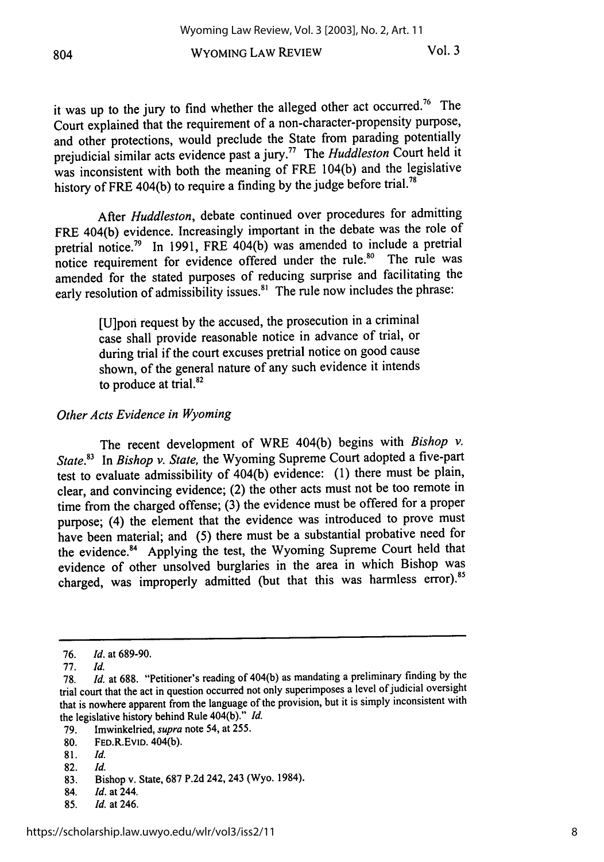WYOMING LAW REVIEW

it was up to the jury to find whether the alleged other act occurred.76 The Court explained that the requirement of a non-character-propensity purpose, and other protections, would preclude the State from parading potentially prejudicial similar acts evidence past a jury.77 The *Huddleston* Court held it was inconsistent with both the meaning of FRE 104(b) and the legislative history of FRE 404(b) to require a finding by the judge before trial.<sup>78</sup>

After *Huddleston,* debate continued over procedures for admitting FRE 404(b) evidence. Increasingly important in the debate was the role of pretrial notice.<sup>79</sup> In 1991, FRE 404(b) was amended to include a pretrial notice requirement for evidence offered under the rule.<sup>80</sup> The rule was amended for the stated purposes of reducing surprise and facilitating the early resolution of admissibility issues.<sup>81</sup> The rule now includes the phrase:

> [U]pon request by the accused, the prosecution in a criminal case shall provide reasonable notice in advance of trial, or during trial if the court excuses pretrial notice on good cause shown, of the general nature of any such evidence it intends to produce at trial. $82$

#### *Other Acts Evidence in Wyoming*

The recent development of WRE 404(b) begins with *Bishop v. State.3* In *Bishop v. State,* the Wyoming Supreme Court adopted a five-part test to evaluate admissibility of 404(b) evidence: (1) there must be plain, clear, and convincing evidence; (2) the other acts must not be too remote in time from the charged offense; (3) the evidence must be offered for a proper purpose; (4) the element that the evidence was introduced to prove must have been material; and (5) there must be a substantial probative need for the evidence.<sup>84</sup> Applying the test, the Wyoming Supreme Court held that evidence of other unsolved burglaries in the area in which Bishop was charged, was improperly admitted (but that this was harmless error).<sup>85</sup>

82. *Id.*

- 84. *Id.* at 244.
- 85. *Id.* at 246.

**<sup>76.</sup>** *Id.* at 689-90.

**<sup>77.</sup>** *Id.*

<sup>78.</sup> *Id.* at 688. "Petitioner's reading of 404(b) as mandating a preliminary finding by the trial court that the act in question occurred not only superimposes a level of judicial oversight that is nowhere apparent from the language of the provision, but it is simply inconsistent with the legislative history behind Rule 404(b)." *Id.*

<sup>79.</sup> Imwinkelried, *supra* note 54, at 255.

<sup>80.</sup> FED.R.EvID. 404(b).

<sup>81.</sup> *Id.*

<sup>83.</sup> Bishop v. State, 687 P.2d 242, 243 (Wyo. 1984).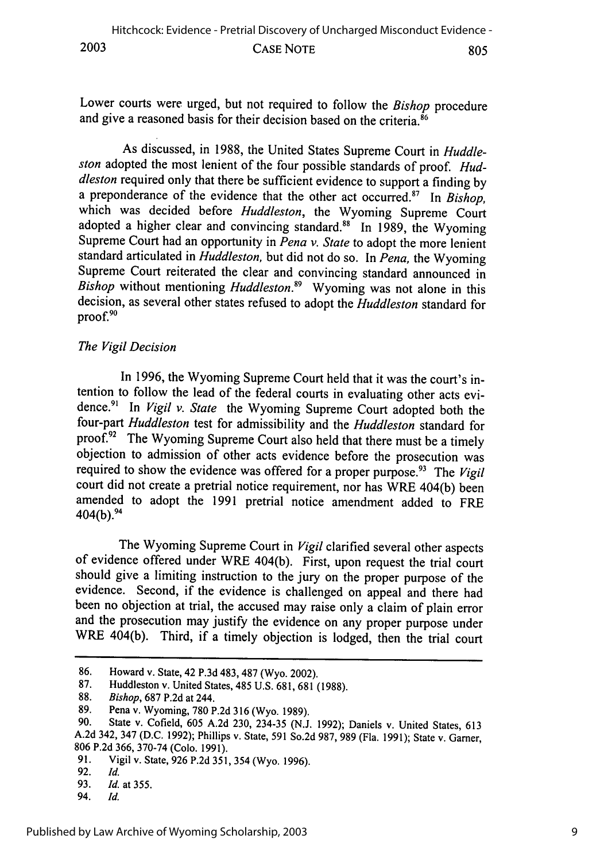Lower courts were urged, but not required to follow the *Bishop* procedure and give a reasoned basis for their decision based on the criteria.<sup>86</sup>

As discussed, in 1988, the United States Supreme Court in *Huddleston* adopted the most lenient of the four possible standards of proof. *Huddleston* required only that there be sufficient evidence to support a finding by a preponderance of the evidence that the other act occurred.<sup>87</sup> In Bishop. which was decided before *Huddleston*, the Wyoming Supreme Court adopted a higher clear and convincing standard.<sup>88</sup> In 1989, the Wyoming Supreme Court had an opportunity in *Pena v. State* to adopt the more lenient standard articulated in *Huddleston*, but did not do so. In *Pena*, the Wyoming Supreme Court reiterated the clear and convincing standard announced in *Bishop* without mentioning *Huddleston*.<sup>89</sup> Wyoming was not alone in this decision, as several other states refused to adopt the *Huddleston* standard for proof.<sup>9</sup>

#### *The Vigil Decision*

In 1996, the Wyoming Supreme Court held that it was the court's intention to follow the lead of the federal courts in evaluating other acts evidence.<sup>91</sup> In *Vigil v. State* the Wyoming Supreme Court adopted both the four-part *Huddleston* test for admissibility and the *Huddleston* standard for proof.<sup>92</sup> The Wyoming Supreme Court also held that there must be a timely objection to admission of other acts evidence before the prosecution was required to show the evidence was offered for a proper purpose.<sup>93</sup> The Vigil court did not create a pretrial notice requirement, nor has WRE 404(b) been amended to adopt the 1991 pretrial notice amendment added to FRE  $404(b).^{94}$ 

The Wyoming Supreme Court in *Vigil* clarified several other aspects of evidence offered under WRE 404(b). First, upon request the trial court should give a limiting instruction to the jury on the proper purpose of the evidence. Second, if the evidence is challenged on appeal and there had been no objection at trial, the accused may raise only a claim of plain error and the prosecution may justify the evidence on any proper purpose under WRE 404(b). Third, if a timely objection is lodged, then the trial court

<sup>86.</sup> Howard v. State, 42 **P.3d** 483, 487 (Wyo. 2002).

<sup>87.</sup> Huddleston v. United States, 485 U.S. 681, 681 (1988).

<sup>88.</sup> *Bishop,* 687 P.2d at 244.

**<sup>89.</sup>** Pena v. Wyoming, **780** P.2d 316 (Wyo. 1989).

**<sup>90.</sup>** State v. Cofield, **605** A.2d 230, 234-35 (N.J. 1992); Daniels v. United States, 613 A.2d 342, 347 (D.C. 1992); Phillips v. State, **591** So.2d 987, **989** (Fla. 1991); State v. Garner, **806 P.2d** 366, 370-74 (Colo. 1991).

**<sup>91.</sup>** Vigil v. State, **926** P.2d 351, 354 (Wyo. 1996).

**<sup>92.</sup>** *Id.*

**<sup>93.</sup>** *Id.* at 355.

<sup>94.</sup> *Id.*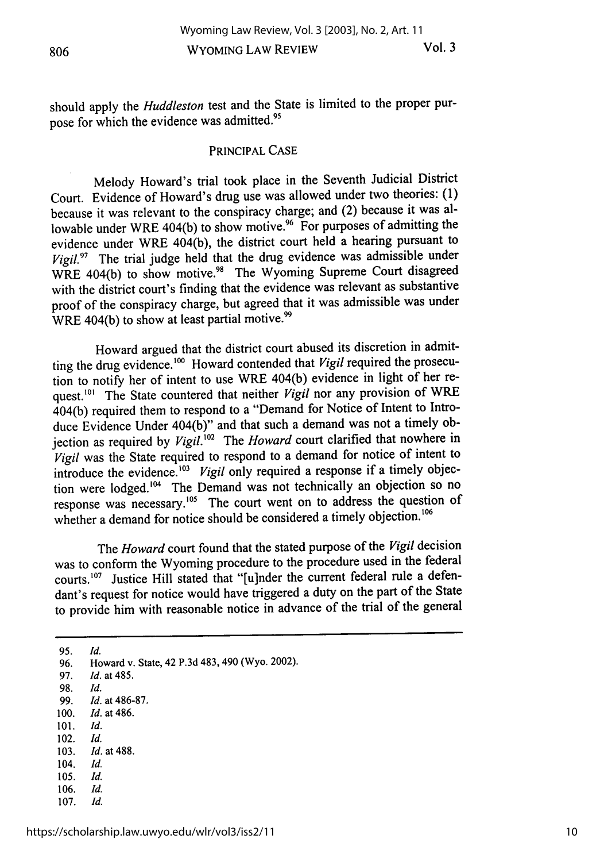should apply the *Huddleston* test and the State is limited to the proper purpose for which the evidence was admitted.<sup>95</sup>

#### PRINCIPAL CASE

Melody Howard's trial took place in the Seventh Judicial District Court. Evidence of Howard's drug use was allowed under two theories: (1) because it was relevant to the conspiracy charge; and (2) because it was allowable under WRE 404(b) to show motive.<sup>96</sup> For purposes of admitting the evidence under WRE 404(b), the district court held a hearing pursuant to *Vigil.97* The trial judge held that the drug evidence was admissible under WRE 404(b) to show motive.<sup>98</sup> The Wyoming Supreme Court disagreed with the district court's finding that the evidence was relevant as substantive proof of the conspiracy charge, but agreed that it was admissible was under WRE 404(b) to show at least partial motive.<sup>99</sup>

Howard argued that the district court abused its discretion in admitting the drug evidence.<sup>100</sup> Howard contended that *Vigil* required the prosecution to notify her of intent to use WRE 404(b) evidence in light of her request.<sup>101</sup> The State countered that neither *Vigil* nor any provision of WRE 404(b) required them to respond to a "Demand for Notice of Intent to Introduce Evidence Under 404(b)" and that such a demand was not a timely objection as required by *Vigil."2* The *Howard* court clarified that nowhere in *Vigil* was the State required to respond to a demand for notice of intent to introduce the evidence.<sup>103</sup> Vigil only required a response if a timely objection were lodged.<sup>104</sup> The Demand was not technically an objection so no response was necessary.<sup>105</sup> The court went on to address the question of whether a demand for notice should be considered a timely objection.<sup>106</sup>

The *Howard* court found that the stated purpose of the *Vigil* decision was to conform the Wyoming procedure to the procedure used in the federal courts.<sup>107</sup> Justice Hill stated that "[u]nder the current federal rule a defendant's request for notice would have triggered a duty on the part of the State to provide him with reasonable notice in advance of the trial of the general

95. *Id.* 96. Howard v. State, 42 P.3d 483, 490 (Wyo. 2002).

- 97. *Id.* at 485.
- 98. *Id.*
- 99. *Id.* at 486-87.
- 100. *Id.* at 486.
- 101. *Id.*
- 102. *Id.*
- 103. *Id.* at 488.
- 104. *Id.*
- 105. *Id.*
- 106. *Id.*
- 107. *Id.*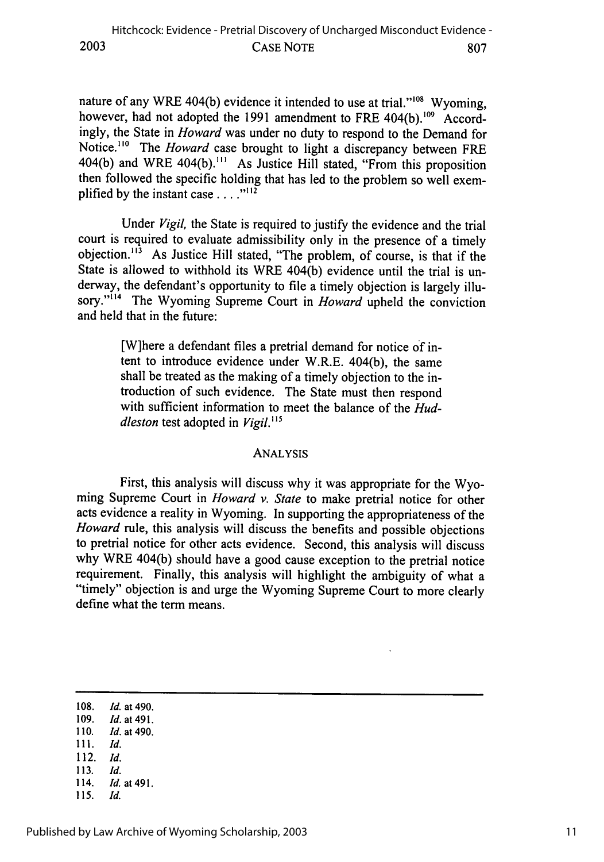nature of any WRE 404(b) evidence it intended to use at trial."<sup>108</sup> Wyoming, however, had not adopted the 1991 amendment to FRE 404(b).<sup>109</sup> Accordingly, the State in *Howard* was under no duty to respond to the Demand for Notice.<sup>110</sup> The *Howard* case brought to light a discrepancy between FRE 404(b) and WRE 404(b)."' As Justice Hill stated, "From this proposition then followed the specific holding that has led to the problem so well exemplified by the instant case **....**

Under *Vigil,* the State is required to justify the evidence and the trial court is required to evaluate admissibility only in the presence of a timely objection.<sup>113</sup> As Justice Hill stated, "The problem, of course, is that if the State is allowed to withhold its WRE 404(b) evidence until the trial is underway, the defendant's opportunity to file a timely objection is largely illusory."<sup>114</sup> The Wyoming Supreme Court in *Howard* upheld the conviction and held that in the future:

> [W]here a defendant files a pretrial demand for notice of intent to introduce evidence under W.R.E. 404(b), the same shall be treated as the making of a timely objection to the introduction of such evidence. The State must then respond with sufficient information to meet the balance of the *Huddleston* test adopted in *Vigil.*<sup>115</sup>

#### ANALYSIS

First, this analysis will discuss why it was appropriate for the Wyoming Supreme Court in *Howard v. State* to make pretrial notice for other acts evidence a reality in Wyoming. In supporting the appropriateness of the *Howard* rule, this analysis will discuss the benefits and possible objections to pretrial notice for other acts evidence. Second, this analysis will discuss why WRE 404(b) should have a good cause exception to the pretrial notice requirement. Finally, this analysis will highlight the ambiguity of what a "timely" objection is and urge the Wyoming Supreme Court to more clearly define what the term means.

- 109. *Id.* at 491.
- 110. *Id.* at 490. 111. *Id.*
- 112. *Id.*
- 113. *Id.*
- 114. *Id.* at 491.
- 115. *Id.*

<sup>108.</sup> *Id.* at 490.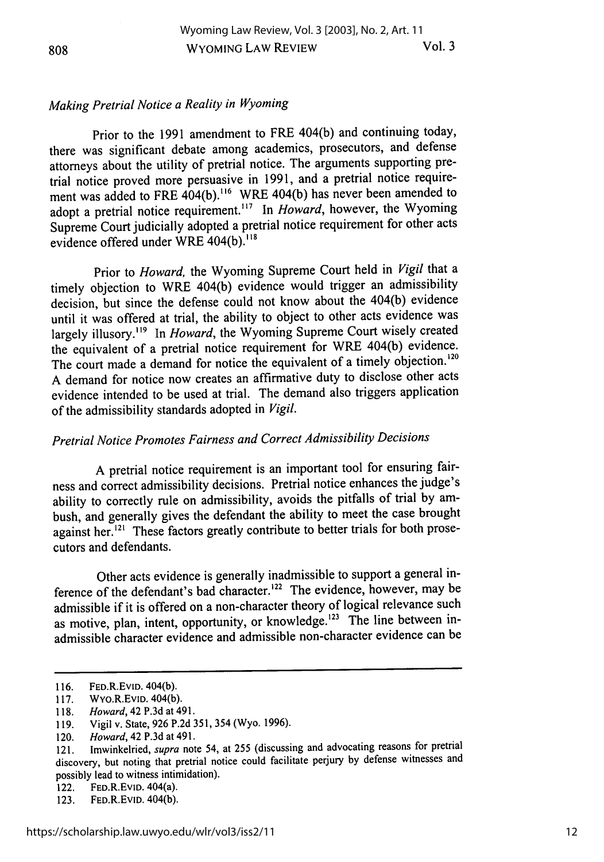#### 808

# *Making Pretrial Notice a Reality in Wyoming*

Prior to the 1991 amendment to FRE 404(b) and continuing today, there was significant debate among academics, prosecutors, and defense attorneys about the utility of pretrial notice. The arguments supporting pretrial notice proved more persuasive in 1991, and a pretrial notice requirement was added to FRE 404(b).<sup>116</sup> WRE 404(b) has never been amended to adopt a pretrial notice requirement.<sup>117</sup> In *Howard*, however, the Wyoming Supreme Court judicially adopted a pretrial notice requirement for other acts evidence offered under WRE 404(b).<sup>118</sup>

Prior to *Howard,* the Wyoming Supreme Court held in *Vigil* that a timely objection to WRE 404(b) evidence would trigger an admissibility decision, but since the defense could not know about the 404(b) evidence until it was offered at trial, the ability to object to other acts evidence was largely illusory.<sup>119</sup> In *Howard*, the Wyoming Supreme Court wisely created the equivalent of a pretrial notice requirement for WRE 404(b) evidence. The court made a demand for notice the equivalent of a timely objection.<sup>120</sup> A demand for notice now creates an affirmative duty to disclose other acts evidence intended to be used at trial. The demand also triggers application of the admissibility standards adopted in *Vigil.*

# *Pretrial Notice Promotes Fairness and Correct Admissibility Decisions*

A pretrial notice requirement is an important tool for ensuring fairness and correct admissibility decisions. Pretrial notice enhances the judge's ability to correctly rule on admissibility, avoids the pitfalls of trial by ambush, and generally gives the defendant the ability to meet the case brought against her.<sup>121</sup> These factors greatly contribute to better trials for both prosecutors and defendants.

Other acts evidence is generally inadmissible to support a general inference of the defendant's bad character.<sup>122</sup> The evidence, however, may be admissible if it is offered on a non-character theory of logical relevance such as motive, plan, intent, opportunity, or knowledge.<sup>123</sup> The line between inadmissible character evidence and admissible non-character evidence can be

<sup>116.</sup> FED.R.EVID. 404(b).

<sup>117.</sup> WYo.R.EvID. 404(b).

<sup>118.</sup> *Howard,* 42 P.3d at 491.

<sup>119.</sup> Vigil v. State, 926 P.2d 351, 354 (Wyo. 1996).

<sup>120.</sup> *Howard,* 42 P.3d at 491.

<sup>121.</sup> Imwinkelried, *supra* note 54, at 255 (discussing and advocating reasons for pretrial discovery, but noting that pretrial notice could facilitate perjury by defense witnesses and possibly lead to witness intimidation).

<sup>122.</sup> FED.R.EvID. 404(a).

<sup>123.</sup> FED.R.EvID. 404(b).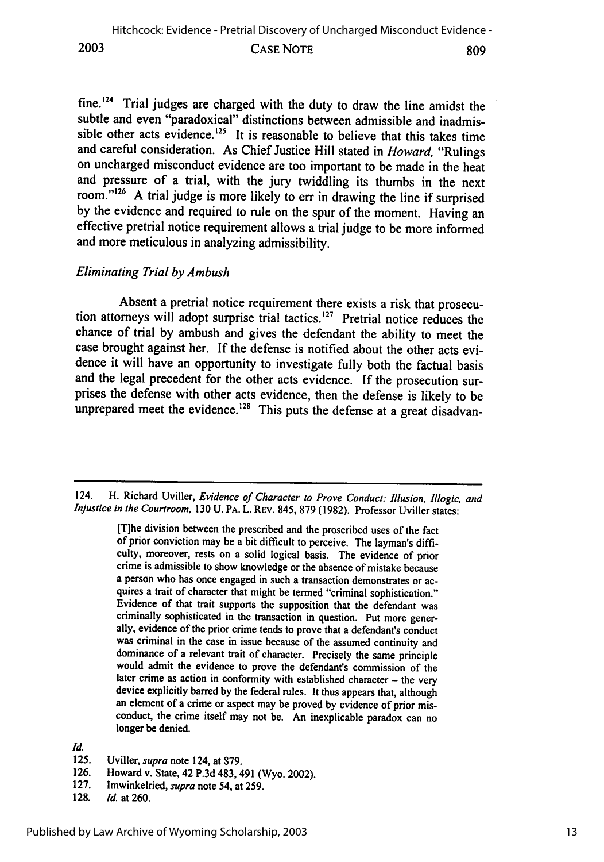**2003**

#### CASE NOTE

fine.<sup>124</sup> Trial judges are charged with the duty to draw the line amidst the subtle and even "paradoxical" distinctions between admissible and inadmissible other acts evidence.<sup>125</sup> It is reasonable to believe that this takes time and careful consideration. As Chief Justice Hill stated in *Howard,* "Rulings on uncharged misconduct evidence are too important to be made in the heat and pressure of a trial, with the jury twiddling its thumbs in the next room."<sup>126</sup> A trial judge is more likely to err in drawing the line if surprised **by** the evidence and required to rule on the spur of the moment. Having an effective pretrial notice requirement allows a trial judge to be more informed and more meticulous in analyzing admissibility.

## *Eliminating Trial by Ambush*

Absent a pretrial notice requirement there exists a risk that prosecution attorneys will adopt surprise trial tactics.<sup>127</sup> Pretrial notice reduces the chance of trial **by** ambush and gives the defendant the ability to meet the case brought against her. **If** the defense is notified about the other acts evidence it will have an opportunity to investigate fully both the factual basis and the legal precedent for the other acts evidence. **If** the prosecution surprises the defense with other acts evidence, then the defense is likely to be unprepared meet the evidence.<sup>128</sup> This puts the defense at a great disadvan-

124. H. Richard Uviller, *Evidence of Character to Prove Conduct: Illusion, Illogic, and Injustice in the Courtroom,* **130 U. PA. L. REV.** 845, **879 (1982).** Professor Uviller states:

> [T]he division between the prescribed and the proscribed uses of the fact of prior conviction may be a bit difficult to perceive. The layman's difficulty, moreover, rests on a solid logical basis. The evidence of prior crime is admissible to show knowledge or the absence of mistake because a person who has once engaged in such a transaction demonstrates or acquires a trait of character that might be termed "criminal sophistication." Evidence of that trait supports the supposition that the defendant was criminally sophisticated in the transaction in question. Put more generally, evidence of the prior crime tends to prove that a defendant's conduct was criminal in the case in issue because of the assumed continuity and dominance of a relevant trait of character. Precisely the same principle would admit the evidence to prove the defendant's commission of the later crime as action in conformity with established character **-** the very device explicitly barred **by** the federal rules. It thus appears that, although an element of a crime or aspect may be proved **by** evidence of prior misconduct, the crime itself may not be. An inexplicable paradox can no longer be denied.

*Id.*

- **125.** Uviller, *supra* note 124, at **379.**
- **126.** Howard v. State, 42 **P.3d** 483, 491 (Wyo. 2002).
- **127.** lmwinkelried, *supra* note 54, at **259.**
- **128.** *Id.* at **260.**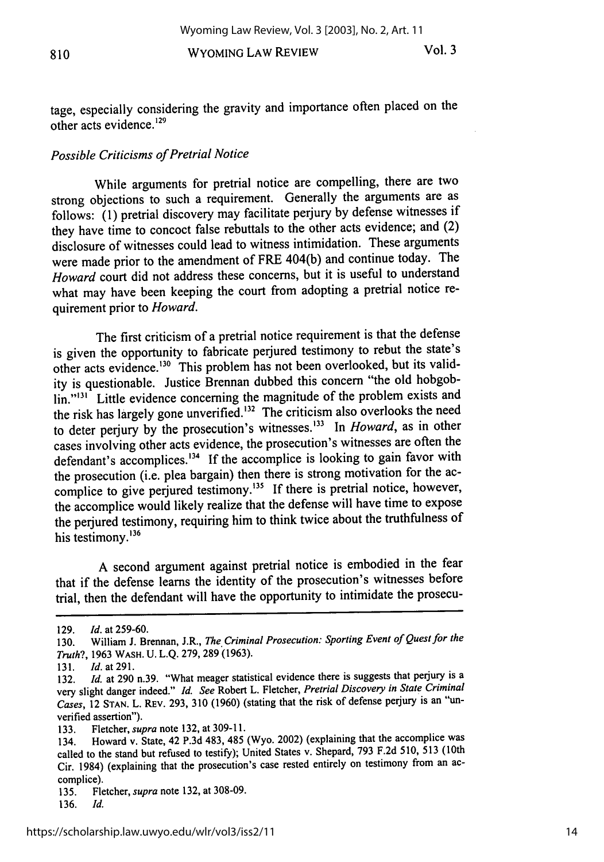WYOMING LAW REVIEW

tage, especially considering the gravity and importance often placed on the other acts evidence.<sup>129</sup>

#### *Possible Criticisms of Pretrial Notice*

While arguments for pretrial notice are compelling, there are two strong objections to such a requirement. Generally the arguments are as follows: (1) pretrial discovery may facilitate perjury by defense witnesses if they have time to concoct false rebuttals to the other acts evidence; and (2) disclosure of witnesses could lead to witness intimidation. These arguments were made prior to the amendment of FRE 404(b) and continue today. The *Howard* court did not address these concerns, but it is useful to understand what may have been keeping the court from adopting a pretrial notice requirement prior to *Howard.*

The first criticism of a pretrial notice requirement is that the defense is given the opportunity to fabricate perjured testimony to rebut the state's other acts evidence.<sup>130</sup> This problem has not been overlooked, but its validity is questionable. Justice Brennan dubbed this concern "the old hobgoblin."<sup>131</sup> Little evidence concerning the magnitude of the problem exists and the risk has largely gone unverified.<sup>132</sup> The criticism also overlooks the need to deter perjury by the prosecution's witnesses.'33 In *Howard,* as in other cases involving other acts evidence, the prosecution's witnesses are often the defendant's accomplices.<sup>134</sup> If the accomplice is looking to gain favor with the prosecution (i.e. plea bargain) then there is strong motivation for the accomplice to give perjured testimony.<sup>135</sup> If there is pretrial notice, however, the accomplice would likely realize that the defense will have time to expose the perjured testimony, requiring him to think twice about the truthfulness of his testimony.<sup>136</sup>

A second argument against pretrial notice is embodied in the fear that if the defense learns the identity of the prosecution's witnesses before trial, then the defendant will have the opportunity to intimidate the prosecu-

<sup>129.</sup> *Id.* at 259-60.

<sup>130.</sup> William J. Brennan, J.R., *The Criminal Prosecution: Sporting Event of Quest for the Truth?,* 1963 **WASH.** U. L.Q. 279, 289 (1963).

<sup>131.</sup> *Id.* at 291.

<sup>132.</sup> *Id.* at 290 n.39. "What meager statistical evidence there is suggests that perjury is a very slight danger indeed." *Id. See* Robert L. Fletcher, *Pretrial Discovery in State Criminal Cases,* **12** STAN. L. REv. 293, **310 (1960)** (stating that the risk of defense perjury is an "unverified assertion").

**<sup>133.</sup>** Fletcher, *supra* note **132,** at **309-11.**

<sup>134.</sup> Howard v. State, 42 P.3d 483, 485 (Wyo. 2002) (explaining that the accomplice was called to the stand but refused to testify); United States v. Shepard, **793** F.2d 510, **513** (10th Cir. 1984) (explaining that the prosecution's case rested entirely on testimony from an accomplice).

<sup>135.</sup> Fletcher, *supra* note **132,** at 308-09.

<sup>136.</sup> *Id.*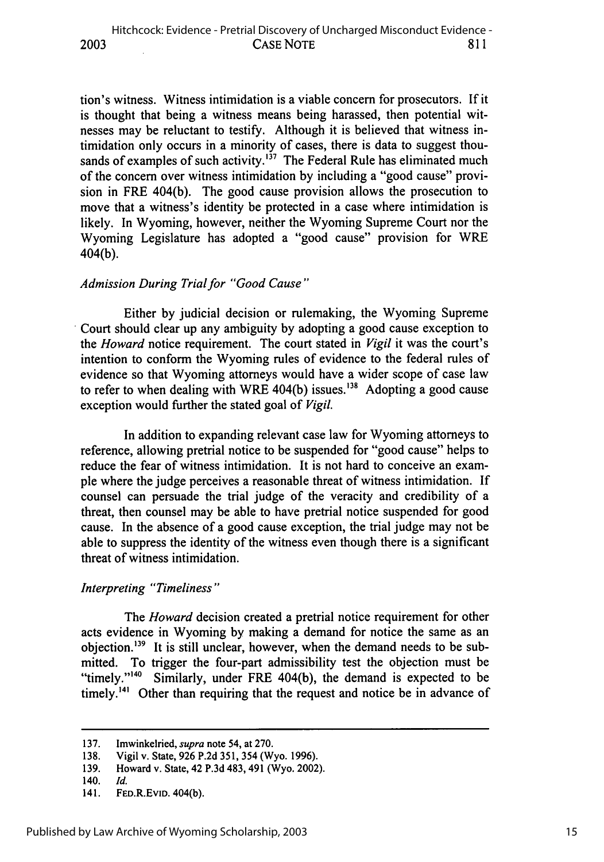tion's witness. Witness intimidation is a viable concern for prosecutors. If it is thought that being a witness means being harassed, then potential witnesses may be reluctant to testify. Although it is believed that witness intimidation only occurs in a minority of cases, there is data to suggest thousands of examples of such activity.<sup> $137$ </sup> The Federal Rule has eliminated much of the concern over witness intimidation by including a "good cause" provision in FRE 404(b). The good cause provision allows the prosecution to move that a witness's identity be protected in a case where intimidation is likely. In Wyoming, however, neither the Wyoming Supreme Court nor the Wyoming Legislature has adopted a "good cause" provision for WRE 404(b).

#### *Admission During Trial for "Good Cause"*

Either by judicial decision or rulemaking, the Wyoming Supreme Court should clear up any ambiguity by adopting a good cause exception to the *Howard* notice requirement. The court stated in *Vigil* it was the court's intention to conform the Wyoming rules of evidence to the federal rules of evidence so that Wyoming attorneys would have a wider scope of case law to refer to when dealing with WRE 404(b) issues.<sup>138</sup> Adopting a good cause exception would further the stated goal of *Vigil.*

In addition to expanding relevant case law for Wyoming attorneys to reference, allowing pretrial notice to be suspended for "good cause" helps to reduce the fear of witness intimidation. It is not hard to conceive an example where the judge perceives a reasonable threat of witness intimidation. If counsel can persuade the trial judge of the veracity and credibility of a threat, then counsel may be able to have pretrial notice suspended for good cause. In the absence of a good cause exception, the trial judge may not be able to suppress the identity of the witness even though there is a significant threat of witness intimidation.

#### *Interpreting "Timeliness"*

The *Howard* decision created a pretrial notice requirement for other acts evidence in Wyoming by making a demand for notice the same as an objection.'39 It is still unclear, however, when the demand needs to be submitted. To trigger the four-part admissibility test the objection must be "timely." $140$  Similarly, under FRE 404(b), the demand is expected to be timely.<sup>141</sup> Other than requiring that the request and notice be in advance of

<sup>137.</sup> Imwinkelried, *supra* note 54, at 270.

<sup>138.</sup> Vigil v. State, 926 P.2d 351, 354 (Wyo. 1996).

<sup>139.</sup> Howard v. State, 42 P.3d 483, 491 (Wyo. 2002).

<sup>140.</sup> *Id.*

<sup>141.</sup> FED.R.EvID. 404(b).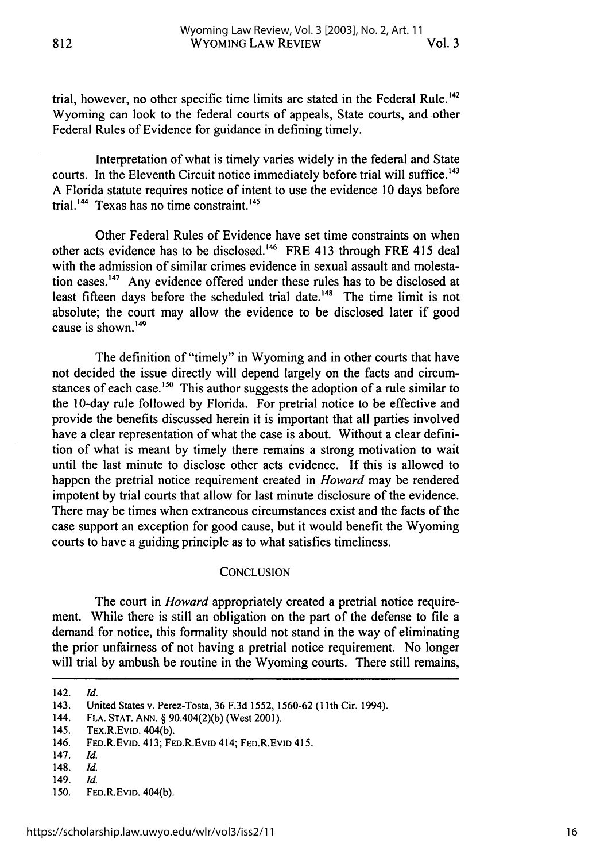trial, however, no other specific time limits are stated in the Federal Rule.<sup>142</sup> Wyoming can look to the federal courts of appeals, State courts, and other Federal Rules of Evidence for guidance in defining timely.

Interpretation of what is timely varies widely in the federal and State courts. In the Eleventh Circuit notice immediately before trial will suffice. **<sup>143</sup>** A Florida statute requires notice of intent to use the evidence 10 days before trial.<sup>144</sup> Texas has no time constraint.<sup>145</sup>

Other Federal Rules of Evidence have set time constraints on when other acts evidence has to be disclosed. 46 FRE 413 through FRE 415 deal with the admission of similar crimes evidence in sexual assault and molestation cases.<sup>147</sup> Any evidence offered under these rules has to be disclosed at least fifteen days before the scheduled trial date.<sup>148</sup> The time limit is not absolute; the court may allow the evidence to be disclosed later if good cause is shown. <sup>149</sup>

The definition of "timely" in Wyoming and in other courts that have not decided the issue directly will depend largely on the facts and circumstances of each case.<sup>150</sup> This author suggests the adoption of a rule similar to the 10-day rule followed by Florida. For pretrial notice to be effective and provide the benefits discussed herein it is important that all parties involved have a clear representation of what the case is about. Without a clear definition of what is meant by timely there remains a strong motivation to wait until the last minute to disclose other acts evidence. If this is allowed to happen the pretrial notice requirement created in *Howard* may be rendered impotent by trial courts that allow for last minute disclosure of the evidence. There may be times when extraneous circumstances exist and the facts of the case support an exception for good cause, but it would benefit the Wyoming courts to have a guiding principle as to what satisfies timeliness.

#### **CONCLUSION**

The court in *Howard* appropriately created a pretrial notice requirement. While there is still an obligation on the part of the defense to file a demand for notice, this formality should not stand in the way of eliminating the prior unfairness of not having a pretrial notice requirement. No longer will trial by ambush be routine in the Wyoming courts. There still remains,

<sup>142.</sup> *Id.*

<sup>143.</sup> United States v. Perez-Tosta, 36 F.3d 1552, 1560-62 (1 1th Cir. 1994).

<sup>144.</sup> **FLA. STAT. ANN.** § 90.404(2)(b) (West 2001).

<sup>145.</sup> TEX.R.EvlD. 404(b).

<sup>146.</sup> FED.R.EVID. 413; FED.R.EvID 414; FED.R.EvID 415.

<sup>147.</sup> *Id.*

<sup>148.</sup> *Id.*

<sup>149.</sup> *Id.*

<sup>150.</sup> FED.R.EvID. 404(b).